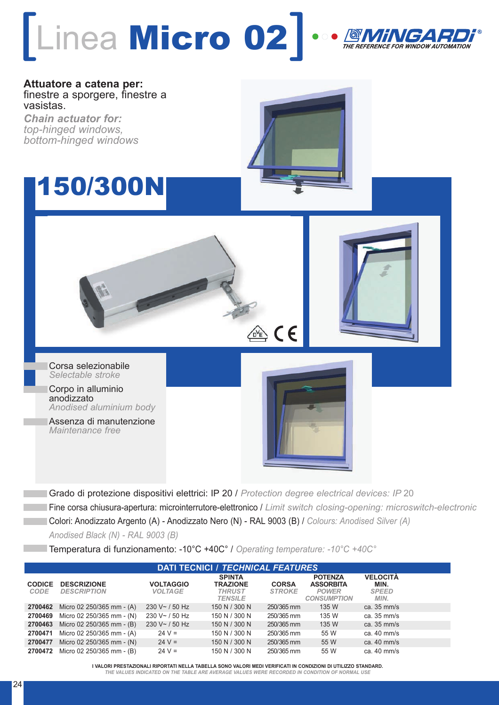

**Attuatore a catena per:** finestre a sporgere, finestre a vasistas.

*Chain actuator for: top-hinged windows, bottom-hinged windows*

## 150/300N



Corpo in alluminio anodizzato *Anodised aluminium body*

Assenza di manutenzione *Maintenance free*



Grado di protezione dispositivi elettrici: IP 20 / *Protection degree electrical devices: IP* 20 Fine corsa chiusura-apertura: microinterrutore-elettronico / *Limit switch closing-opening: microswitch-electronic* Colori: Anodizzato Argento (A) - Anodizzato Nero (N) - RAL 9003 (B) / *Colours: Anodised Silver (A) Anodised Black (N) - RAL 9003 (B)*

 $\frac{1}{\alpha^{2}E}$  (E

Temperatura di funzionamento: -10°C +40C° / *Operating temperature: -10°C +40C°*

| <b>DATI TECNICI / TECHNICAL FEATURES</b> |                                          |                                    |                                                                     |                               |                                                                          |                                                 |
|------------------------------------------|------------------------------------------|------------------------------------|---------------------------------------------------------------------|-------------------------------|--------------------------------------------------------------------------|-------------------------------------------------|
| <b>CODICE</b><br>CODE                    | <b>DESCRIZIONE</b><br><b>DESCRIPTION</b> | <b>VOLTAGGIO</b><br><b>VOLTAGE</b> | <b>SPINTA</b><br><b>TRAZIONE</b><br><b>THRUST</b><br><b>TENSILE</b> | <b>CORSA</b><br><b>STROKE</b> | <b>POTENZA</b><br><b>ASSORBITA</b><br><b>POWER</b><br><b>CONSUMPTION</b> | <b>VELOCITÀ</b><br>MIN.<br><b>SPEED</b><br>MIN. |
| 2700462                                  | Micro 02 250/365 mm - (A)                | 230 V $\sim$ / 50 Hz               | 150 N / 300 N                                                       | 250/365 mm                    | 135 W                                                                    | ca. $35 \text{ mm/s}$                           |
| 2700469                                  | Micro 02 250/365 mm - (N)                | $230 V - 750 Hz$                   | 150 N / 300 N                                                       | 250/365 mm                    | 135 W                                                                    | ca. $35 \text{ mm/s}$                           |
| 2700463                                  | Micro 02 250/365 mm - (B)                | 230 V~/~150 Hz                     | 150 N / 300 N                                                       | 250/365 mm                    | 135 W                                                                    | ca. $35 \text{ mm/s}$                           |
| 2700471                                  | Micro 02 250/365 mm - (A)                | $24 V =$                           | 150 N / 300 N                                                       | 250/365 mm                    | 55 W                                                                     | ca. $40 \text{ mm/s}$                           |
| 2700477                                  | Micro 02 250/365 mm - (N)                | $24 V =$                           | 150 N / 300 N                                                       | 250/365 mm                    | 55 W                                                                     | ca. $40 \text{ mm/s}$                           |
| 2700472                                  | Micro 02 250/365 mm - (B)                | $24 V =$                           | 150 N / 300 N                                                       | 250/365 mm                    | 55 W                                                                     | ca. 40 mm/s                                     |

**I VALORI PRESTAZIONALI RIPORTATI NELLA TABELLA SONO VALORI MEDI VERIFICATI IN CONDIZIONI DI UTILIZZO STANDARD.**

*THE VALUES INDICATED ON THE TABLE ARE AVERAGE VALUES WERE RECORDED IN CONDITION OF NORMAL USE*